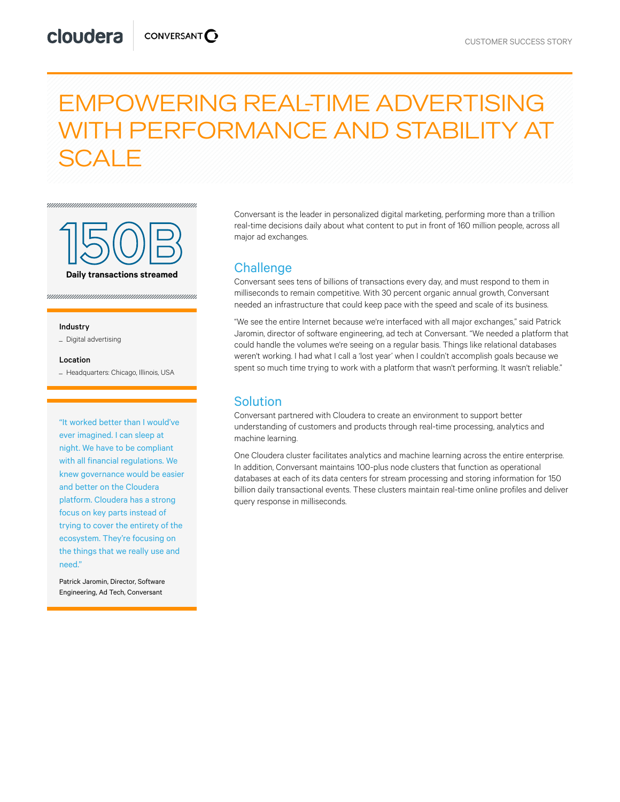# EMPOWERING REAL-TIME ADVERTISING WITH PERFORMANCE AND STABILITY AT SCALE



#### Industry

\_ Digital advertising

#### Location

\_ Headquarters: Chicago, Illinois, USA

"It worked better than I would've ever imagined. I can sleep at night. We have to be compliant with all financial regulations. We knew governance would be easier and better on the Cloudera platform. Cloudera has a strong focus on key parts instead of trying to cover the entirety of the ecosystem. They're focusing on the things that we really use and need."

Patrick Jaromin, Director, Software Engineering, Ad Tech, Conversant

Conversant is the leader in personalized digital marketing, performing more than a trillion real-time decisions daily about what content to put in front of 160 million people, across all major ad exchanges.

# **Challenge**

Conversant sees tens of billions of transactions every day, and must respond to them in milliseconds to remain competitive. With 30 percent organic annual growth, Conversant needed an infrastructure that could keep pace with the speed and scale of its business.

"We see the entire Internet because we're interfaced with all major exchanges," said Patrick Jaromin, director of software engineering, ad tech at Conversant. "We needed a platform that could handle the volumes we're seeing on a regular basis. Things like relational databases weren't working. I had what I call a 'lost year' when I couldn't accomplish goals because we spent so much time trying to work with a platform that wasn't performing. It wasn't reliable."

### **Solution**

Conversant partnered with Cloudera to create an environment to support better understanding of customers and products through real-time processing, analytics and machine learning.

One Cloudera cluster facilitates analytics and machine learning across the entire enterprise. In addition, Conversant maintains 100-plus node clusters that function as operational databases at each of its data centers for stream processing and storing information for 150 billion daily transactional events. These clusters maintain real-time online profiles and deliver query response in milliseconds.